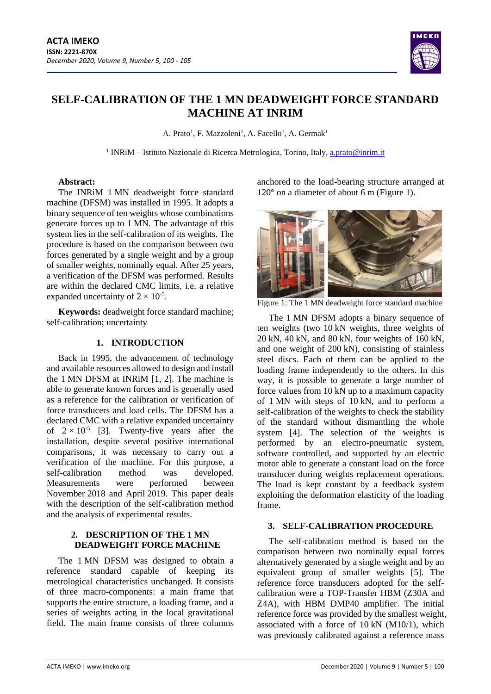

# **SELF-CALIBRATION OF THE 1 MN DEADWEIGHT FORCE STANDARD MACHINE AT INRIM**

A. Prato<sup>1</sup>, F. Mazzoleni<sup>1</sup>, A. Facello<sup>1</sup>, A. Germak<sup>1</sup>

<sup>1</sup> INRiM – Istituto Nazionale di Ricerca Metrologica, Torino, Italy, [a.prato@inrim.it](mailto:a.prato@inrim.it)

#### **Abstract:**

The INRiM 1 MN deadweight force standard machine (DFSM) was installed in 1995. It adopts a binary sequence of ten weights whose combinations generate forces up to 1 MN. The advantage of this system lies in the self-calibration of its weights. The procedure is based on the comparison between two forces generated by a single weight and by a group of smaller weights, nominally equal. After 25 years, a verification of the DFSM was performed. Results are within the declared CMC limits, i.e. a relative expanded uncertainty of  $2 \times 10^{-5}$ .

**Keywords:** deadweight force standard machine; self-calibration; uncertainty

# **1. INTRODUCTION**

Back in 1995, the advancement of technology and available resources allowed to design and install the 1 MN DFSM at INRiM [1, 2]. The machine is able to generate known forces and is generally used as a reference for the calibration or verification of force transducers and load cells. The DFSM has a declared CMC with a relative expanded uncertainty of  $2 \times 10^{-5}$  [3]. Twenty-five years after the installation, despite several positive international comparisons, it was necessary to carry out a verification of the machine. For this purpose, a self-calibration method was developed. Measurements were performed between November 2018 and April 2019. This paper deals with the description of the self-calibration method and the analysis of experimental results.

# **2. DESCRIPTION OF THE 1 MN DEADWEIGHT FORCE MACHINE**

The 1 MN DFSM was designed to obtain a reference standard capable of keeping its metrological characteristics unchanged. It consists of three macro-components: a main frame that supports the entire structure, a loading frame, and a series of weights acting in the local gravitational field. The main frame consists of three columns anchored to the load-bearing structure arranged at 120° on a diameter of about 6 m (Figure 1).



Figure 1: The 1 MN deadweight force standard machine

The 1 MN DFSM adopts a binary sequence of ten weights (two 10 kN weights, three weights of 20 kN, 40 kN, and 80 kN, four weights of 160 kN, and one weight of 200 kN), consisting of stainless steel discs. Each of them can be applied to the loading frame independently to the others. In this way, it is possible to generate a large number of force values from 10 kN up to a maximum capacity of 1 MN with steps of 10 kN, and to perform a self-calibration of the weights to check the stability of the standard without dismantling the whole system [4]. The selection of the weights is performed by an electro-pneumatic system, software controlled, and supported by an electric motor able to generate a constant load on the force transducer during weights replacement operations. The load is kept constant by a feedback system exploiting the deformation elasticity of the loading frame.

## **3. SELF-CALIBRATION PROCEDURE**

The self-calibration method is based on the comparison between two nominally equal forces alternatively generated by a single weight and by an equivalent group of smaller weights [5]. The reference force transducers adopted for the selfcalibration were a TOP-Transfer HBM (Z30A and Z4A), with HBM DMP40 amplifier. The initial reference force was provided by the smallest weight, associated with a force of 10 kN (M10/1), which was previously calibrated against a reference mass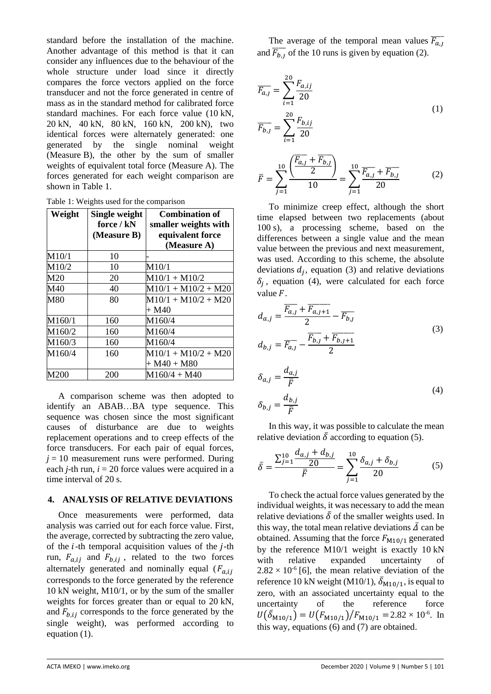standard before the installation of the machine. Another advantage of this method is that it can consider any influences due to the behaviour of the whole structure under load since it directly compares the force vectors applied on the force transducer and not the force generated in centre of mass as in the standard method for calibrated force standard machines. For each force value (10 kN, 20 kN, 40 kN, 80 kN, 160 kN, 200 kN), two identical forces were alternately generated: one generated by the single nominal weight (Measure B), the other by the sum of smaller weights of equivalent total force (Measure A). The forces generated for each weight comparison are shown in Table 1.

Table 1: Weights used for the comparison

| Weight | Single weight<br>force / kN<br>(Measure B) | <b>Combination of</b><br>smaller weights with<br>equivalent force<br>(Measure A) |
|--------|--------------------------------------------|----------------------------------------------------------------------------------|
| M10/1  | 10                                         |                                                                                  |
| M10/2  | 10                                         | M10/1                                                                            |
| M20    | 20                                         | $M10/1 + M10/2$                                                                  |
| M40    | 40                                         | $M10/1 + M10/2 + M20$                                                            |
| M80    | 80                                         | $M10/1 + M10/2 + M20$<br>+ M40                                                   |
| M160/1 | 160                                        | M160/4                                                                           |
| M160/2 | 160                                        | M160/4                                                                           |
| M160/3 | 160                                        | M160/4                                                                           |
| M160/4 | 160                                        | $M10/1 + M10/2 + M20$<br>+ M40 + M80                                             |
| M200   | 200                                        | $M160/4 + M40$                                                                   |

A comparison scheme was then adopted to identify an ABAB…BA type sequence. This sequence was chosen since the most significant causes of disturbance are due to weights replacement operations and to creep effects of the force transducers. For each pair of equal forces,  $j = 10$  measurement runs were performed. During each *j*-th run, *i* = 20 force values were acquired in a time interval of 20 s.

#### **4. ANALYSIS OF RELATIVE DEVIATIONS**

Once measurements were performed, data analysis was carried out for each force value. First, the average, corrected by subtracting the zero value, of the  $i$ -th temporal acquisition values of the  $j$ -th run,  $F_{a,i,j}$  and  $F_{b,i,j}$ , related to the two forces alternately generated and nominally equal ( $F_{a,ij}$ ) corresponds to the force generated by the reference 10 kN weight, M10/1, or by the sum of the smaller weights for forces greater than or equal to 20 kN, and  $F_{b, i j}$  corresponds to the force generated by the single weight), was performed according to equation (1).

The average of the temporal mean values  $\overline{F_{a,j}}$ and  $\overline{F_{b,j}}$  of the 10 runs is given by equation (2).

$$
\overline{F_{a,j}} = \sum_{i=1}^{20} \frac{F_{a,ij}}{20}
$$
\n
$$
\overline{F_{b,j}} = \sum_{i=1}^{20} \frac{F_{b,ij}}{20}
$$
\n(1)

$$
\bar{F} = \sum_{j=1}^{10} \frac{\left(\frac{\overline{F_{a,j}} + \overline{F_{b,j}}}{2}\right)}{10} = \sum_{j=1}^{10} \frac{\overline{F_{a,j}} + \overline{F_{b,j}}}{20}
$$
(2)

To minimize creep effect, although the short time elapsed between two replacements (about 100 s), a processing scheme, based on the differences between a single value and the mean value between the previous and next measurement, was used. According to this scheme, the absolute deviations  $d_j$ , equation (3) and relative deviations  $\delta_j$ , equation (4), were calculated for each force value  $F$ .

$$
d_{a,j} = \frac{\overline{F_{a,j}} + \overline{F_{a,j+1}}}{2} - \overline{F_{b,j}}
$$
  
\n
$$
d_{b,j} = \overline{F_{a,j}} - \frac{\overline{F_{b,j}} + \overline{F_{b,j+1}}}{2}
$$
  
\n
$$
\delta_{a,j} = \frac{d_{a,j}}{\overline{F}}
$$
  
\n
$$
\delta_{b,j} = \frac{d_{b,j}}{\overline{F}}
$$
  
\n(4)

In this way, it was possible to calculate the mean relative deviation  $\bar{\delta}$  according to equation (5).

 $\bar{F}$ 

$$
\bar{\delta} = \frac{\sum_{j=1}^{10} \frac{d_{a,j} + d_{b,j}}{20}}{\bar{F}} = \sum_{j=1}^{10} \frac{\delta_{a,j} + \delta_{b,j}}{20}
$$
(5)

To check the actual force values generated by the individual weights, it was necessary to add the mean relative deviations  $\delta$  of the smaller weights used. In this way, the total mean relative deviations  $\overline{\Lambda}$  can be obtained. Assuming that the force  $F_{M10/1}$  generated by the reference M10/1 weight is exactly 10 kN with relative expanded uncertainty of  $2.82 \times 10^{-6}$  [6], the mean relative deviation of the reference 10 kN weight (M10/1),  $\bar{\delta}_{M10/1}$ , is equal to zero, with an associated uncertainty equal to the uncertainty of the reference force  $U(\bar{\delta}_{M10/1}) = U(F_{M10/1})/F_{M10/1} = 2.82 \times 10^{-6}$ . In this way, equations (6) and (7) are obtained.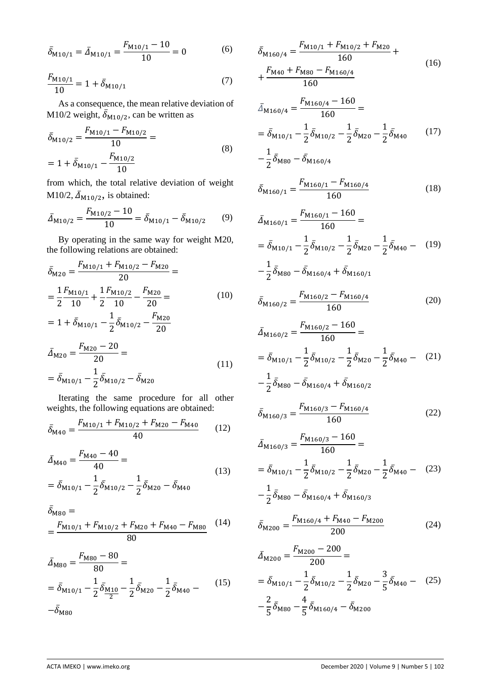$$
\bar{\delta}_{M10/1} = \bar{\Delta}_{M10/1} = \frac{F_{M10/1} - 10}{10} = 0
$$
 (6)

$$
\frac{F_{\text{M10/1}}}{10} = 1 + \bar{\delta}_{\text{M10/1}} \tag{7}
$$

As a consequence, the mean relative deviation of M10/2 weight,  $\overline{\delta}_{M10/2}$ , can be written as

$$
\bar{\delta}_{M10/2} = \frac{F_{M10/1} - F_{M10/2}}{10} =
$$
\n
$$
= 1 + \bar{\delta}_{M10/1} - \frac{F_{M10/2}}{10}
$$
\n(8)

from which, the total relative deviation of weight M10/2,  $\bar{\Delta}_{M10/2}$ , is obtained:

$$
\bar{\Delta}_{M10/2} = \frac{F_{M10/2} - 10}{10} = \bar{\delta}_{M10/1} - \bar{\delta}_{M10/2} \tag{9}
$$

By operating in the same way for weight M20, the following relations are obtained:

$$
\bar{\delta}_{M20} = \frac{F_{M10/1} + F_{M10/2} - F_{M20}}{20} =
$$
\n
$$
= \frac{1}{2} \frac{F_{M10/1}}{10} + \frac{1}{2} \frac{F_{M10/2}}{10} - \frac{F_{M20}}{20} =
$$
\n
$$
= 1 + \bar{\delta}_{M10/1} - \frac{1}{2} \bar{\delta}_{M10/2} - \frac{F_{M20}}{20}
$$
\n(10)

$$
\bar{\Delta}_{M20} = \frac{F_{M20} - 20}{20} =
$$
\n
$$
= \bar{\delta}_{M10/1} - \frac{1}{2} \bar{\delta}_{M10/2} - \bar{\delta}_{M20}
$$
\n(11)

Iterating the same procedure for all other weights, the following equations are obtained:

$$
\bar{\delta}_{\text{M40}} = \frac{F_{\text{M10/1}} + F_{\text{M10/2}} + F_{\text{M20}} - F_{\text{M40}}}{40} \tag{12}
$$

$$
\bar{\Delta}_{M40} = \frac{F_{M40} - 40}{40} =
$$
\n
$$
= \bar{\delta}_{M10/1} - \frac{1}{2} \bar{\delta}_{M10/2} - \frac{1}{2} \bar{\delta}_{M20} - \bar{\delta}_{M40}
$$
\n(13)

$$
\bar{\delta}_{\text{M80}} =
$$
  
= 
$$
\frac{F_{\text{M10/1}} + F_{\text{M10/2}} + F_{\text{M20}} + F_{\text{M40}} - F_{\text{M80}}}{80}
$$
 (14)

$$
\bar{\Delta}_{\text{M80}} = \frac{F_{\text{M80}} - 80}{80} =
$$
\n
$$
= \bar{\delta}_{\text{M10/1}} - \frac{1}{2} \bar{\delta}_{\frac{\text{M10}}{2}} - \frac{1}{2} \bar{\delta}_{\text{M20}} - \frac{1}{2} \bar{\delta}_{\text{M40}} - \qquad (15)
$$
\n
$$
-\bar{\delta}_{\text{M80}}
$$

$$
\bar{\delta}_{M160/4} = \frac{F_{M10/1} + F_{M10/2} + F_{M20}}{160} + \frac{F_{M40} + F_{M80} - F_{M160/4}}{160} + \frac{F_{M40} + F_{M80} - F_{M160/4}}{160}
$$
\n(16)

$$
\bar{\Delta}_{M160/4} = \frac{N_{M160/4} - 100}{160} =
$$
\n
$$
= \bar{\delta}_{M10/1} - \frac{1}{2} \bar{\delta}_{M10/2} - \frac{1}{2} \bar{\delta}_{M20} - \frac{1}{2} \bar{\delta}_{M40} \tag{17}
$$

$$
-\frac{1}{2}\bar{\delta}_{\rm M80}-\bar{\delta}_{\rm M160/4}
$$

$$
\bar{\delta}_{M160/1} = \frac{F_{M160/1} - F_{M160/4}}{160} \tag{18}
$$

$$
\bar{\Delta}_{M160/1} = \frac{F_{M160/1} - 160}{160} =
$$
\n
$$
= \bar{\delta}_{M10/1} - \frac{1}{2} \bar{\delta}_{M10/2} - \frac{1}{2} \bar{\delta}_{M20} - \frac{1}{2} \bar{\delta}_{M40} - (19)
$$
\n
$$
- \frac{1}{2} \bar{\delta}_{M80} - \bar{\delta}_{M160/4} + \bar{\delta}_{M160/1}
$$

$$
\bar{\delta}_{\text{M160}/2} = \frac{F_{\text{M160}/2} - F_{\text{M160}/4}}{160} \tag{20}
$$

$$
\bar{\Delta}_{M160/2} = \frac{F_{M160/2} - 160}{160} =
$$
\n
$$
= \bar{\delta}_{M10/1} - \frac{1}{2} \bar{\delta}_{M10/2} - \frac{1}{2} \bar{\delta}_{M20} - \frac{1}{2} \bar{\delta}_{M40} - (21)
$$
\n
$$
- \frac{1}{2} \bar{\delta}_{M80} - \bar{\delta}_{M160/4} + \bar{\delta}_{M160/2}
$$

$$
\bar{\delta}_{M160/3} = \frac{F_{M160/3} - F_{M160/4}}{160} \tag{22}
$$

$$
\bar{\Delta}_{M160/3} = \frac{F_{M160/3} - 160}{160} =
$$
\n
$$
= \bar{\delta}_{M10/1} - \frac{1}{2} \bar{\delta}_{M10/2} - \frac{1}{2} \bar{\delta}_{M20} - \frac{1}{2} \bar{\delta}_{M40} - (23)
$$
\n
$$
- \frac{1}{2} \bar{\delta}_{M80} - \bar{\delta}_{M160/4} + \bar{\delta}_{M160/3}
$$

$$
\bar{\delta}_{\text{M200}} = \frac{F_{\text{M160/4}} + F_{\text{M40}} - F_{\text{M200}}}{200} \tag{24}
$$

$$
\bar{\Delta}_{M200} = \frac{F_{M200} - 200}{200} =
$$
\n
$$
= \bar{\delta}_{M10/1} - \frac{1}{2} \bar{\delta}_{M10/2} - \frac{1}{2} \bar{\delta}_{M20} - \frac{3}{5} \bar{\delta}_{M40} - (25)
$$
\n
$$
- \frac{2}{5} \bar{\delta}_{M80} - \frac{4}{5} \bar{\delta}_{M160/4} - \bar{\delta}_{M200}
$$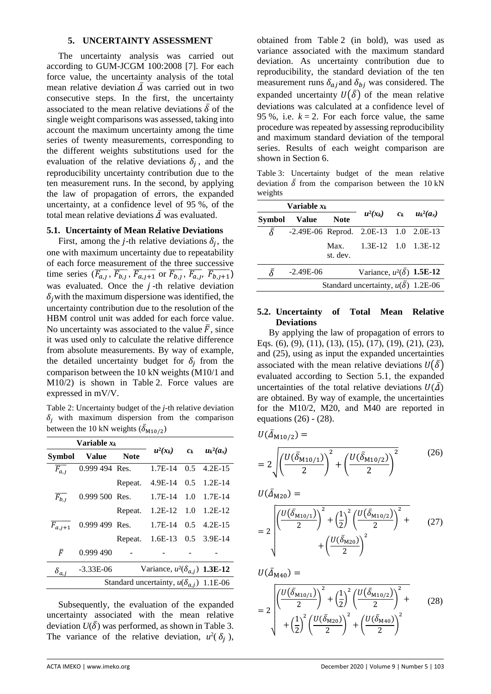#### **5. UNCERTAINTY ASSESSMENT**

The uncertainty analysis was carried out according to GUM-JCGM 100:2008 [7]. For each force value, the uncertainty analysis of the total mean relative deviation  $\overline{\Delta}$  was carried out in two consecutive steps. In the first, the uncertainty associated to the mean relative deviations  $\bar{\delta}$  of the single weight comparisons was assessed, taking into account the maximum uncertainty among the time series of twenty measurements, corresponding to the different weights substitutions used for the evaluation of the relative deviations  $\delta_j$ , and the reproducibility uncertainty contribution due to the ten measurement runs. In the second, by applying the law of propagation of errors, the expanded uncertainty, at a confidence level of 95 %, of the total mean relative deviations  $\overline{\Delta}$  was evaluated.

## **5.1. Uncertainty of Mean Relative Deviations**

First, among the *j*-th relative deviations  $\delta_j$ , the one with maximum uncertainty due to repeatability of each force measurement of the three successive time series  $(\overline{F_{a,j}}, \overline{F_{b,j}}, \overline{F_{a,j+1}})$  or  $\overline{F_{b,j}}, \overline{F_{a,j}}, \overline{F_{b,j+1}})$ was evaluated. Once the  $j$ -th relative deviation  $\delta_i$  with the maximum dispersione was identified, the uncertainty contribution due to the resolution of the HBM control unit was added for each force value. No uncertainty was associated to the value  $\bar{F}$ , since it was used only to calculate the relative difference from absolute measurements. By way of example, the detailed uncertainty budget for  $\delta_j$  from the comparison between the 10 kN weights (M10/1 and M10/2) is shown in Table 2. Force values are expressed in mV/V.

Table 2: Uncertainty budget of the *j*-th relative deviation  $\delta_i$  with maximum dispersion from the comparison between the 10 kN weights  $(\bar{\delta}_{M10/2})$ 

| Variable $x_k$                                  |                  |             |                                       |     |                               |
|-------------------------------------------------|------------------|-------------|---------------------------------------|-----|-------------------------------|
| <b>Symbol</b>                                   | <b>Value</b>     | <b>Note</b> |                                       |     | $u^2(x_k)$ $c_k$ $u_k^2(a_x)$ |
| $\overline{F_{a,j}}$                            | 0.999 494 Res.   |             | $1.7E-14$                             | 0.5 | $4.2E-15$                     |
|                                                 |                  | Repeat.     | 4.9E-14 0.5 1.2E-14                   |     |                               |
| $\overline{F_{b,I}}$                            | 0.999 500 Res.   |             | 1.7E-14 1.0 1.7E-14                   |     |                               |
|                                                 |                  | Repeat.     | $1.2E-12$ $1.0$ $1.2E-12$             |     |                               |
| $\overline{F}_{a,j+1}$                          | $0.999$ 499 Res. |             | $1.7E-14$ 0.5 $4.2E-15$               |     |                               |
|                                                 |                  |             | Repeat. 1.6E-13 0.5 3.9E-14           |     |                               |
| F                                               | 0.999490         |             |                                       |     |                               |
| $\delta_{a,j}$                                  | $-3.33E-06$      |             | Variance, $u^2(\delta_{a,j})$ 1.3E-12 |     |                               |
| Standard uncertainty, $u(\delta_{a,i})$ 1.1E-06 |                  |             |                                       |     |                               |

Subsequently, the evaluation of the expanded uncertainty associated with the mean relative deviation  $U(\bar{\delta})$  was performed, as shown in Table 3. The variance of the relative deviation,  $u^2(\delta_j)$ , obtained from Table 2 (in bold), was used as variance associated with the maximum standard deviation. As uncertainty contribution due to reproducibility, the standard deviation of the ten measurement runs  $\delta_{aj}$  and  $\delta_{bj}$  was considered. The expanded uncertainty  $U(\overline{\delta})$  of the mean relative deviations was calculated at a confidence level of 95 %, i.e.  $k = 2$ . For each force value, the same procedure was repeated by assessing reproducibility and maximum standard deviation of the temporal series. Results of each weight comparison are shown in Section 6.

Table 3: Uncertainty budget of the mean relative deviation  $\overline{\delta}$  from the comparison between the 10 kN weights

| Variable $x_k$                            |                                             |                  |                                       |  |              |
|-------------------------------------------|---------------------------------------------|------------------|---------------------------------------|--|--------------|
| <b>Symbol</b>                             | <b>Value</b>                                | <b>Note</b>      | $u^2(x_k)$ $c_k$                      |  | $u_k^2(a_x)$ |
| $\bar{\delta}$                            | $-2.49E-06$ Reprod. $2.0E-13$ 1.0 $2.0E-13$ |                  |                                       |  |              |
|                                           |                                             | Max.<br>st. dev. | 1.3E-12 1.0 1.3E-12                   |  |              |
|                                           | $-2.49E-06$                                 |                  | Variance, $u^2(\bar{\delta})$ 1.5E-12 |  |              |
| Standard uncertainty, $u(\delta)$ 1.2E-06 |                                             |                  |                                       |  |              |

#### **5.2. Uncertainty of Total Mean Relative Deviations**

By applying the law of propagation of errors to Eqs. (6), (9), (11), (13), (15), (17), (19), (21), (23), and (25), using as input the expanded uncertainties associated with the mean relative deviations  $U(\bar{\delta})$ evaluated according to Section 5.1, the expanded uncertainties of the total relative deviations  $U(\bar{\Delta})$ are obtained. By way of example, the uncertainties for the M10/2, M20, and M40 are reported in equations (26) - (28).

 $U(\bar{A}_{M10/2}) =$ 

$$
=2\sqrt{\left(\frac{U(\bar{\delta}_{M10/1})}{2}\right)^2+\left(\frac{U(\bar{\delta}_{M10/2})}{2}\right)^2}
$$
(26)

 $U(\bar{\Delta}_{M20}) =$ 

$$
=2\sqrt{\frac{U(\bar{\delta}_{M10/1})^{2}}{2}+\left(\frac{1}{2}\right)^{2}\left(\frac{U(\bar{\delta}_{M10/2})}{2}\right)^{2}+}\left(\frac{U(\bar{\delta}_{M20})}{2}\right)^{2}}
$$
(27)

$$
U(\bar{\Delta}_{M40}) =
$$
  
=  $2 \sqrt{\left(\frac{U(\bar{\delta}_{M10/1})}{2}\right)^2 + \left(\frac{1}{2}\right)^2 \left(\frac{U(\bar{\delta}_{M10/2})}{2}\right)^2 + \left(\frac{1}{2}\right)^2 \left(\frac{U(\bar{\delta}_{M20})}{2}\right)^2 + \left(\frac{U(\bar{\delta}_{M40})}{2}\right)^2}$  (28)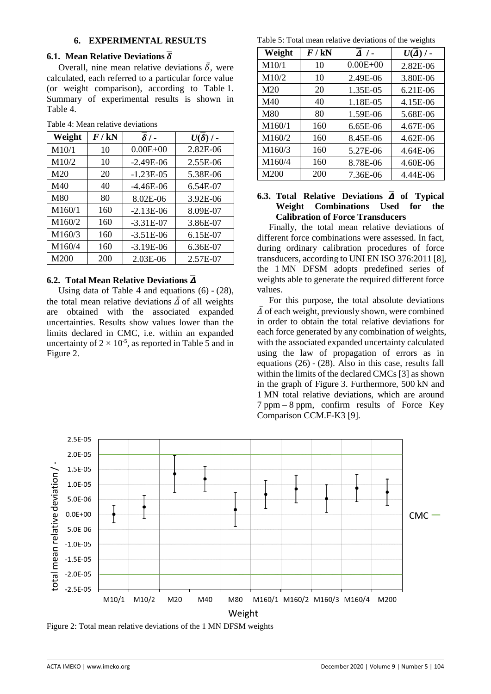# **6. EXPERIMENTAL RESULTS**

# **6.1. Mean Relative Deviations**  $\overline{\delta}$

Overall, nine mean relative deviations  $\overline{\delta}$ , were calculated, each referred to a particular force value (or weight comparison), according to Table 1. Summary of experimental results is shown in Table 4.

| Weight | $F$ / kN | $\overline{\delta}/$ - | $U(\delta)$ / - |
|--------|----------|------------------------|-----------------|
| M10/1  | 10       | $0.00E + 00$           | 2.82E-06        |
| M10/2  | 10       | $-2.49E-06$            | 2.55E-06        |
| M20    | 20       | $-1.23E-05$            | 5.38E-06        |
| M40    | 40       | $-4.46E-06$            | 6.54E-07        |
| M80    | 80       | 8.02E-06               | 3.92E-06        |
| M160/1 | 160      | $-2.13E-06$            | 8.09E-07        |
| M160/2 | 160      | $-3.31E-07$            | 3.86E-07        |
| M160/3 | 160      | $-3.51E-06$            | 6.15E-07        |
| M160/4 | 160      | $-3.19E-06$            | 6.36E-07        |
| M200   | 200      | 2.03E-06               | 2.57E-07        |

Table 4: Mean relative deviations

# **6.2. Total Mean Relative Deviations** ̅

Using data of Table 4 and equations (6) - (28), the total mean relative deviations  $\overline{\Delta}$  of all weights are obtained with the associated expanded uncertainties. Results show values lower than the limits declared in CMC, i.e. within an expanded uncertainty of  $2 \times 10^{-5}$ , as reported in Table 5 and in Figure 2.

Table 5: Total mean relative deviations of the weights

| Weight | $F$ / kN | $\overline{A}$ / - | $U(\overline{\Delta})$ / - |
|--------|----------|--------------------|----------------------------|
| M10/1  | 10       | $0.00E + 00$       | 2.82E-06                   |
| M10/2  | 10       | 2.49E-06           | 3.80E-06                   |
| M20    | 20       | 1.35E-05           | 6.21E-06                   |
| M40    | 40       | 1.18E-05           | 4.15E-06                   |
| M80    | 80       | 1.59E-06           | 5.68E-06                   |
| M160/1 | 160      | 6.65E-06           | 4.67E-06                   |
| M160/2 | 160      | 8.45E-06           | 4.62E-06                   |
| M160/3 | 160      | 5.27E-06           | 4.64E-06                   |
| M160/4 | 160      | 8.78E-06           | 4.60E-06                   |
| M200   | 200      | 7.36E-06           | 4.44E-06                   |

# **6.3.** Total Relative Deviations  $\overline{\mathbf{A}}$  of Typical **Weight Combinations Used for the Calibration of Force Transducers**

Finally, the total mean relative deviations of different force combinations were assessed. In fact, during ordinary calibration procedures of force transducers, according to UNI EN ISO 376:2011 [8], the 1 MN DFSM adopts predefined series of weights able to generate the required different force values.

For this purpose, the total absolute deviations  $\overline{\Delta}$  of each weight, previously shown, were combined in order to obtain the total relative deviations for each force generated by any combination of weights, with the associated expanded uncertainty calculated using the law of propagation of errors as in equations (26) - (28). Also in this case, results fall within the limits of the declared CMCs [3] as shown in the graph of Figure 3. Furthermore, 500 kN and 1 MN total relative deviations, which are around 7 ppm – 8 ppm, confirm results of Force Key Comparison CCM.F-K3 [9].



Figure 2: Total mean relative deviations of the 1 MN DFSM weights